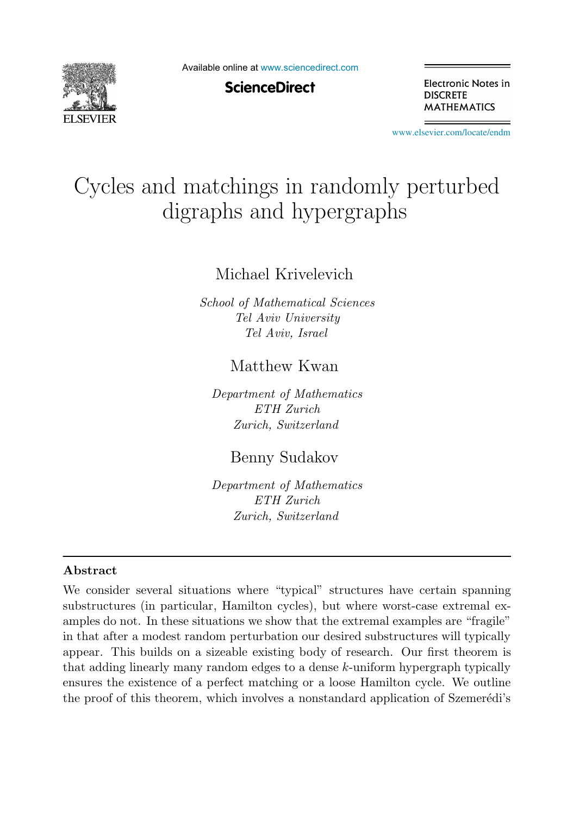

Available online at [www.sciencedirect.com](http://www.sciencedirect.com)

**ScienceDirect** 

Electronic Notes in **DISCRETE MATHEMATICS** 

[www.elsevier.com/locate/endm](http://www.elsevier.com/locate/endm)

# Cycles and matchings in randomly perturbed digraphs and hypergraphs

Michael Krivelevich

School of Mathematical Sciences Tel Aviv University Tel Aviv, Israel

# Matthew Kwan

Department of Mathematics ETH Zurich Zurich, Switzerland

Benny Sudakov

Department of Mathematics ETH Zurich Zurich, Switzerland

## **Abstract**

We consider several situations where "typical" structures have certain spanning substructures (in particular, Hamilton cycles), but where worst-case extremal examples do not. In these situations we show that the extremal examples are "fragile" in that after a modest random perturbation our desired substructures will typically appear. This builds on a sizeable existing body of research. Our first theorem is that adding linearly many random edges to a dense k-uniform hypergraph typically ensures the existence of a perfect matching or a loose Hamilton cycle. We outline the proof of this theorem, which involves a nonstandard application of Szemerédi's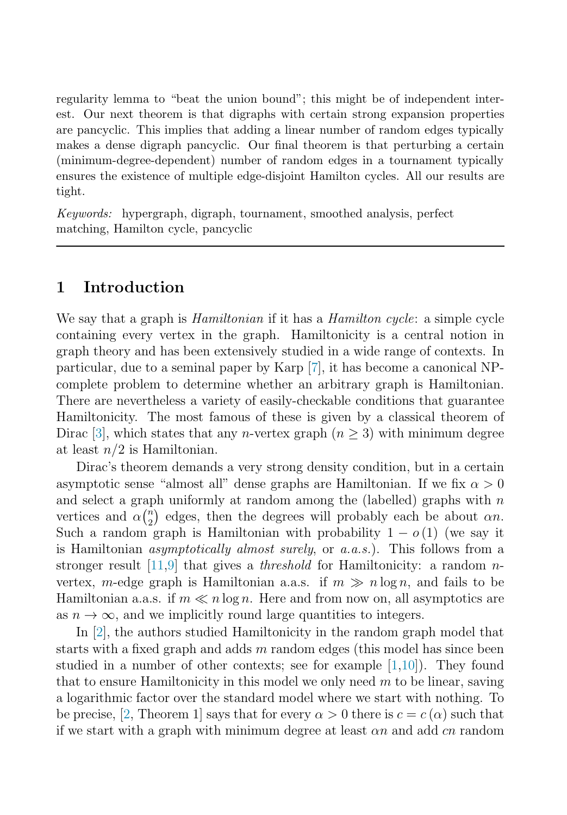regularity lemma to "beat the union bound"; this might be of independent interest. Our next theorem is that digraphs with certain strong expansion properties are pancyclic. This implies that adding a linear number of random edges typically makes a dense digraph pancyclic. Our final theorem is that perturbing a certain (minimum-degree-dependent) number of random edges in a tournament typically ensures the existence of multiple edge-disjoint Hamilton cycles. All our results are tight.

Keywords: hypergraph, digraph, tournament, smoothed analysis, perfect matching, Hamilton cycle, pancyclic

## **1 Introduction**

We say that a graph is *Hamiltonian* if it has a *Hamilton cycle*: a simple cycle containing every vertex in the graph. Hamiltonicity is a central notion in graph theory and has been extensively studied in a wide range of contexts. In particular, due to a seminal paper by Karp [\[7\]](#page-6-0), it has become a canonical NPcomplete problem to determine whether an arbitrary graph is Hamiltonian. There are nevertheless a variety of easily-checkable conditions that guarantee Hamiltonicity. The most famous of these is given by a classical theorem of Dirac [\[3\]](#page-6-0), which states that any *n*-vertex graph ( $n \geq 3$ ) with minimum degree at least  $n/2$  is Hamiltonian.

Dirac's theorem demands a very strong density condition, but in a certain asymptotic sense "almost all" dense graphs are Hamiltonian. If we fix  $\alpha > 0$ and select a graph uniformly at random among the (labelled) graphs with  $n$ vertices and  $\alpha \binom{n}{2}$  $\binom{n}{2}$  edges, then the degrees will probably each be about  $\alpha n$ . Such a random graph is Hamiltonian with probability  $1 - o(1)$  (we say it is Hamiltonian asymptotically almost surely, or a.a.s.). This follows from a stronger result [\[11,9\]](#page-6-0) that gives a *threshold* for Hamiltonicity: a random  $n$ vertex, m-edge graph is Hamiltonian a.a.s. if  $m \gg n \log n$ , and fails to be Hamiltonian a.a.s. if  $m \ll n \log n$ . Here and from now on, all asymptotics are as  $n \to \infty$ , and we implicitly round large quantities to integers.

In [[2\]](#page-6-0), the authors studied Hamiltonicity in the random graph model that starts with a fixed graph and adds  $m$  random edges (this model has since been studied in a number of other contexts; see for example [\[1,10\]](#page-6-0)). They found that to ensure Hamiltonicity in this model we only need  $m$  to be linear, saving a logarithmic factor over the standard model where we start with nothing. To be precise, [\[2,](#page-6-0) Theorem 1] says that for every  $\alpha > 0$  there is  $c = c(\alpha)$  such that if we start with a graph with minimum degree at least  $\alpha n$  and add cn random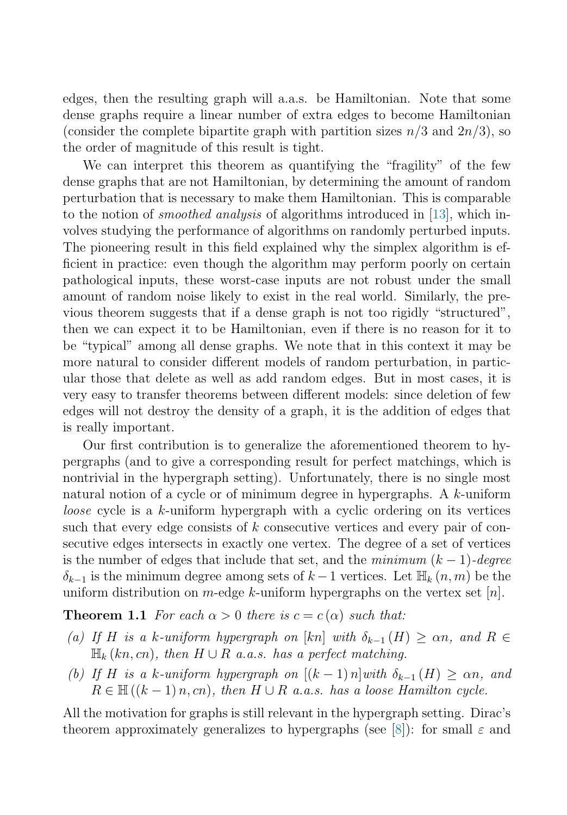<span id="page-2-0"></span>edges, then the resulting graph will a.a.s. be Hamiltonian. Note that some dense graphs require a linear number of extra edges to become Hamiltonian (consider the complete bipartite graph with partition sizes  $n/3$  and  $2n/3$ ), so the order of magnitude of this result is tight.

We can interpret this theorem as quantifying the "fragility" of the few dense graphs that are not Hamiltonian, by determining the amount of random perturbation that is necessary to make them Hamiltonian. This is comparable to the notion of smoothed analysis of algorithms introduced in [\[13\]](#page-6-0), which involves studying the performance of algorithms on randomly perturbed inputs. The pioneering result in this field explained why the simplex algorithm is efficient in practice: even though the algorithm may perform poorly on certain pathological inputs, these worst-case inputs are not robust under the small amount of random noise likely to exist in the real world. Similarly, the previous theorem suggests that if a dense graph is not too rigidly "structured", then we can expect it to be Hamiltonian, even if there is no reason for it to be "typical" among all dense graphs. We note that in this context it may be more natural to consider different models of random perturbation, in particular those that delete as well as add random edges. But in most cases, it is very easy to transfer theorems between different models: since deletion of few edges will not destroy the density of a graph, it is the addition of edges that is really important.

Our first contribution is to generalize the aforementioned theorem to hypergraphs (and to give a corresponding result for perfect matchings, which is nontrivial in the hypergraph setting). Unfortunately, there is no single most natural notion of a cycle or of minimum degree in hypergraphs. A k-uniform loose cycle is a k-uniform hypergraph with a cyclic ordering on its vertices such that every edge consists of k consecutive vertices and every pair of consecutive edges intersects in exactly one vertex. The degree of a set of vertices is the number of edges that include that set, and the minimum  $(k-1)$ -degree  $\delta_{k-1}$  is the minimum degree among sets of  $k-1$  vertices. Let  $\mathbb{H}_k(n,m)$  be the uniform distribution on  $m$ -edge  $k$ -uniform hypergraphs on the vertex set  $[n]$ .

**Theorem 1.1** For each  $\alpha > 0$  there is  $c = c(\alpha)$  such that:

- (a) If H is a k-uniform hypergraph on [kn] with  $\delta_{k-1}(H) \ge \alpha n$ , and  $R \in$  $\mathbb{H}_k(kn, cn)$ , then  $H \cup R$  a.a.s. has a perfect matching.
- (b) If H is a k-uniform hypergraph on  $[(k-1)n]$  with  $\delta_{k-1}(H) \ge \alpha n$ , and  $R \in \mathbb{H}((k-1)n, cn)$ , then  $H \cup R$  a.a.s. has a loose Hamilton cycle.

All the motivation for graphs is still relevant in the hypergraph setting. Dirac's theorem approximately generalizes to hypergraphs (see [\[8\]](#page-6-0)): for small  $\varepsilon$  and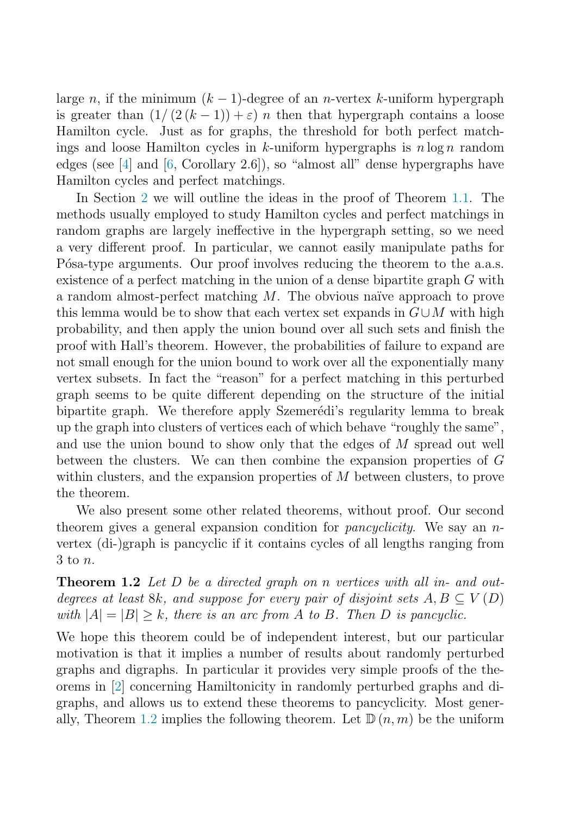<span id="page-3-0"></span>large n, if the minimum  $(k-1)$ -degree of an n-vertex k-uniform hypergraph is greater than  $(1/(2(k-1))+\varepsilon)n$  then that hypergraph contains a loose Hamilton cycle. Just as for graphs, the threshold for both perfect matchings and loose Hamilton cycles in k-uniform hypergraphs is  $n \log n$  random edges (see [\[4\]](#page-6-0) and [\[6,](#page-6-0) Corollary 2.6]), so "almost all" dense hypergraphs have Hamilton cycles and perfect matchings.

In Section [2](#page-4-0) we will outline the ideas in the proof of Theorem [1.1.](#page-2-0) The methods usually employed to study Hamilton cycles and perfect matchings in random graphs are largely ineffective in the hypergraph setting, so we need a very different proof. In particular, we cannot easily manipulate paths for Pósa-type arguments. Our proof involves reducing the theorem to the a.a.s. existence of a perfect matching in the union of a dense bipartite graph G with a random almost-perfect matching  $M$ . The obvious naïve approach to prove this lemma would be to show that each vertex set expands in  $G\cup M$  with high probability, and then apply the union bound over all such sets and finish the proof with Hall's theorem. However, the probabilities of failure to expand are not small enough for the union bound to work over all the exponentially many vertex subsets. In fact the "reason" for a perfect matching in this perturbed graph seems to be quite different depending on the structure of the initial bipartite graph. We therefore apply Szemerédi's regularity lemma to break up the graph into clusters of vertices each of which behave "roughly the same", and use the union bound to show only that the edges of M spread out well between the clusters. We can then combine the expansion properties of G within clusters, and the expansion properties of M between clusters, to prove the theorem.

We also present some other related theorems, without proof. Our second theorem gives a general expansion condition for pancyclicity. We say an nvertex (di-)graph is pancyclic if it contains cycles of all lengths ranging from 3 to n.

**Theorem 1.2** Let D be a directed graph on n vertices with all in- and outdegrees at least 8k, and suppose for every pair of disjoint sets  $A, B \subseteq V(D)$ with  $|A| = |B| \ge k$ , there is an arc from A to B. Then D is pancyclic.

We hope this theorem could be of independent interest, but our particular motivation is that it implies a number of results about randomly perturbed graphs and digraphs. In particular it provides very simple proofs of the theorems in [\[2\]](#page-6-0) concerning Hamiltonicity in randomly perturbed graphs and digraphs, and allows us to extend these theorems to pancyclicity. Most gener-ally, Theorem [1.2](#page-3-0) implies the following theorem. Let  $\mathbb{D}(n,m)$  be the uniform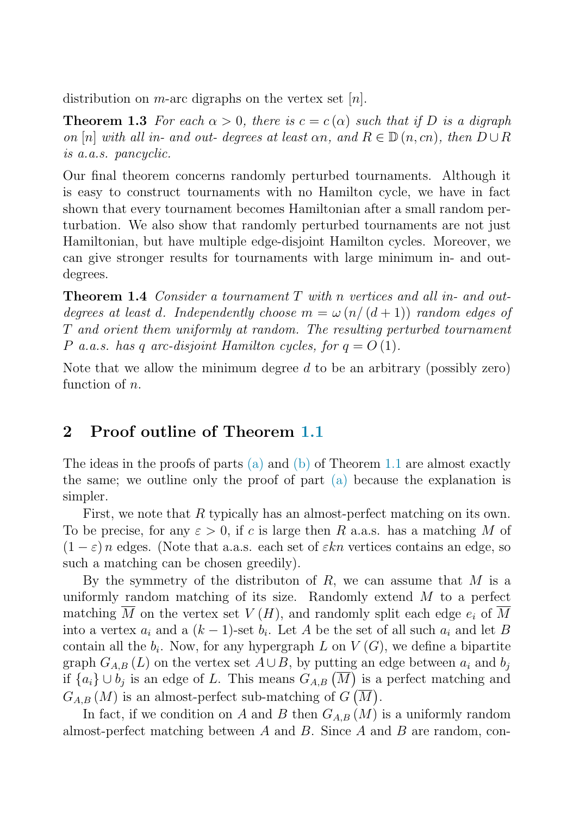<span id="page-4-0"></span>distribution on *m*-arc digraphs on the vertex set  $[n]$ .

**Theorem 1.3** For each  $\alpha > 0$ , there is  $c = c(\alpha)$  such that if D is a digraph on [n] with all in- and out- degrees at least  $\alpha n$ , and  $R \in \mathbb{D}(n, cn)$ , then  $D \cup R$ is a.a.s. pancyclic.

Our final theorem concerns randomly perturbed tournaments. Although it is easy to construct tournaments with no Hamilton cycle, we have in fact shown that every tournament becomes Hamiltonian after a small random perturbation. We also show that randomly perturbed tournaments are not just Hamiltonian, but have multiple edge-disjoint Hamilton cycles. Moreover, we can give stronger results for tournaments with large minimum in- and outdegrees.

**Theorem 1.4** Consider a tournament T with n vertices and all in- and outdegrees at least d. Independently choose  $m = \omega (n/(d+1))$  random edges of T and orient them uniformly at random. The resulting perturbed tournament P a.a.s. has q arc-disjoint Hamilton cycles, for  $q = O(1)$ .

Note that we allow the minimum degree  $d$  to be an arbitrary (possibly zero) function of n.

# **2 Proof outline of Theorem [1.1](#page-2-0)**

The ideas in the proofs of parts [\(a\)](#page-2-0) and [\(b\)](#page-2-0) of Theorem [1.1](#page-2-0) are almost exactly the same; we outline only the proof of part [\(a\)](#page-2-0) because the explanation is simpler.

First, we note that R typically has an almost-perfect matching on its own. To be precise, for any  $\varepsilon > 0$ , if c is large then R a.a.s. has a matching M of  $(1 - \varepsilon)n$  edges. (Note that a.s. each set of  $\varepsilon kn$  vertices contains an edge, so such a matching can be chosen greedily).

By the symmetry of the distributon of  $R$ , we can assume that  $M$  is a uniformly random matching of its size. Randomly extend  $M$  to a perfect matching  $\overline{M}$  on the vertex set  $V(H)$ , and randomly split each edge  $e_i$  of  $\overline{M}$ into a vertex  $a_i$  and a  $(k-1)$ -set  $b_i$ . Let A be the set of all such  $a_i$  and let B contain all the  $b_i$ . Now, for any hypergraph L on  $V(G)$ , we define a bipartite graph  $G_{A,B}(L)$  on the vertex set  $A\cup B$ , by putting an edge between  $a_i$  and  $b_j$ if  $\{a_i\} \cup b_j$  is an edge of L. This means  $G_{A,B}(\overline{M})$  is a perfect matching and  $G_{A,B}(M)$  is an almost-perfect sub-matching of  $G(\overline{M})$ .

In fact, if we condition on A and B then  $G_{A,B}(M)$  is a uniformly random almost-perfect matching between  $A$  and  $B$ . Since  $A$  and  $B$  are random, con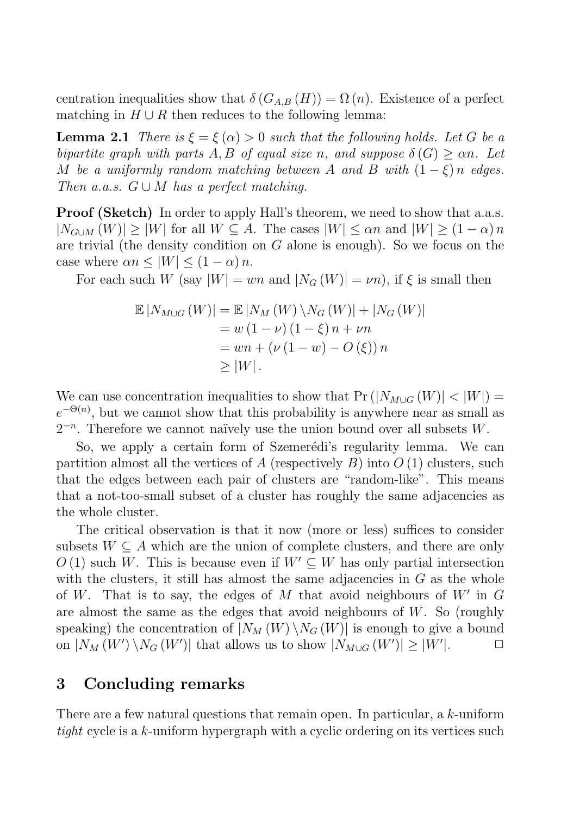centration inequalities show that  $\delta(G_{AB}(H)) = \Omega(n)$ . Existence of a perfect matching in  $H \cup R$  then reduces to the following lemma:

**Lemma 2.1** There is  $\xi = \xi(\alpha) > 0$  such that the following holds. Let G be a bipartite graph with parts A, B of equal size n, and suppose  $\delta(G) > \alpha n$ . Let M be a uniformly random matching between A and B with  $(1 - \xi)n$  edges. Then a.a.s.  $G \cup M$  has a perfect matching.

**Proof (Sketch)** In order to apply Hall's theorem, we need to show that a.a.s.  $|N_{G\cup M}(W)| \geq |W|$  for all  $W \subseteq A$ . The cases  $|W| \leq \alpha n$  and  $|W| \geq (1 - \alpha) n$ are trivial (the density condition on  $G$  alone is enough). So we focus on the case where  $\alpha n \leq |W| \leq (1 - \alpha) n$ .

For each such W (say  $|W| = wn$  and  $|N_G(W)| = \nu n$ ), if  $\xi$  is small then

$$
\mathbb{E}|N_{M\cup G}(W)| = \mathbb{E}|N_M(W)\setminus N_G(W)| + |N_G(W)|
$$
  
= w (1 - v) (1 - \xi) n + vn  
= wn + (v (1 - w) - O(\xi)) n  

$$
\geq |W|.
$$

We can use concentration inequalities to show that  $Pr(|N_{M\cup G}(W)| < |W|)$  $e^{-\Theta(n)}$ , but we cannot show that this probability is anywhere near as small as  $2^{-n}$ . Therefore we cannot naïvely use the union bound over all subsets W.

So, we apply a certain form of Szemerédi's regularity lemma. We can partition almost all the vertices of A (respectively B) into  $O(1)$  clusters, such that the edges between each pair of clusters are "random-like". This means that a not-too-small subset of a cluster has roughly the same adjacencies as the whole cluster.

The critical observation is that it now (more or less) suffices to consider subsets  $W \subseteq A$  which are the union of complete clusters, and there are only  $O(1)$  such W. This is because even if  $W' \subseteq W$  has only partial intersection with the clusters, it still has almost the same adjacencies in  $G$  as the whole of W. That is to say, the edges of M that avoid neighbours of  $W'$  in G are almost the same as the edges that avoid neighbours of  $W$ . So (roughly speaking) the concentration of  $|N_M(W) \setminus N_G(W)|$  is enough to give a bound on  $|N_M(W') \setminus N_G(W')|$  that allows us to show  $|N_{M \cup G}(W')| \ge |W'|$  $\| .$ 

## **3 Concluding remarks**

There are a few natural questions that remain open. In particular, a k-uniform tight cycle is a k-uniform hypergraph with a cyclic ordering on its vertices such